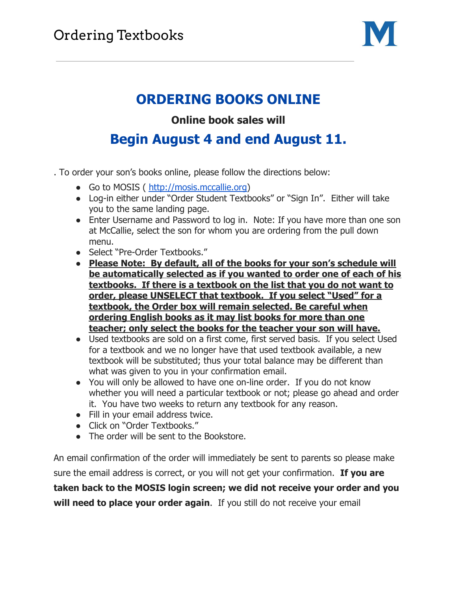

## **ORDERING BOOKS ONLINE**

## **Online book sales will**

## **Begin August 4 and end August 11.**

- . To order your son's books online, please follow the directions below:
	- Go to MOSIS ( [http://mosis.mccallie.org](http://mosis.mccallie.org/))
	- Log-in either under "Order Student Textbooks" or "Sign In". Either will take you to the same landing page.
	- Enter Username and Password to log in. Note: If you have more than one son at McCallie, select the son for whom you are ordering from the pull down menu.
	- Select "Pre-Order Textbooks."
	- **Please Note: By default, all of the books for your son's schedule will be automatically selected as if you wanted to order one of each of his textbooks. If there is a textbook on the list that you do not want to order, please UNSELECT that textbook. If you select "Used" for a textbook, the Order box will remain selected. Be careful when ordering English books as it may list books for more than one teacher; only select the books for the teacher your son will have.**
	- Used textbooks are sold on a first come, first served basis. If you select Used for a textbook and we no longer have that used textbook available, a new textbook will be substituted; thus your total balance may be different than what was given to you in your confirmation email.
	- You will only be allowed to have one on-line order. If you do not know whether you will need a particular textbook or not; please go ahead and order it. You have two weeks to return any textbook for any reason.
	- Fill in your email address twice.
	- Click on "Order Textbooks."
	- The order will be sent to the Bookstore.

An email confirmation of the order will immediately be sent to parents so please make sure the email address is correct, or you will not get your confirmation. **If you are taken back to the MOSIS login screen; we did not receive your order and you will need to place your order again**. If you still do not receive your email